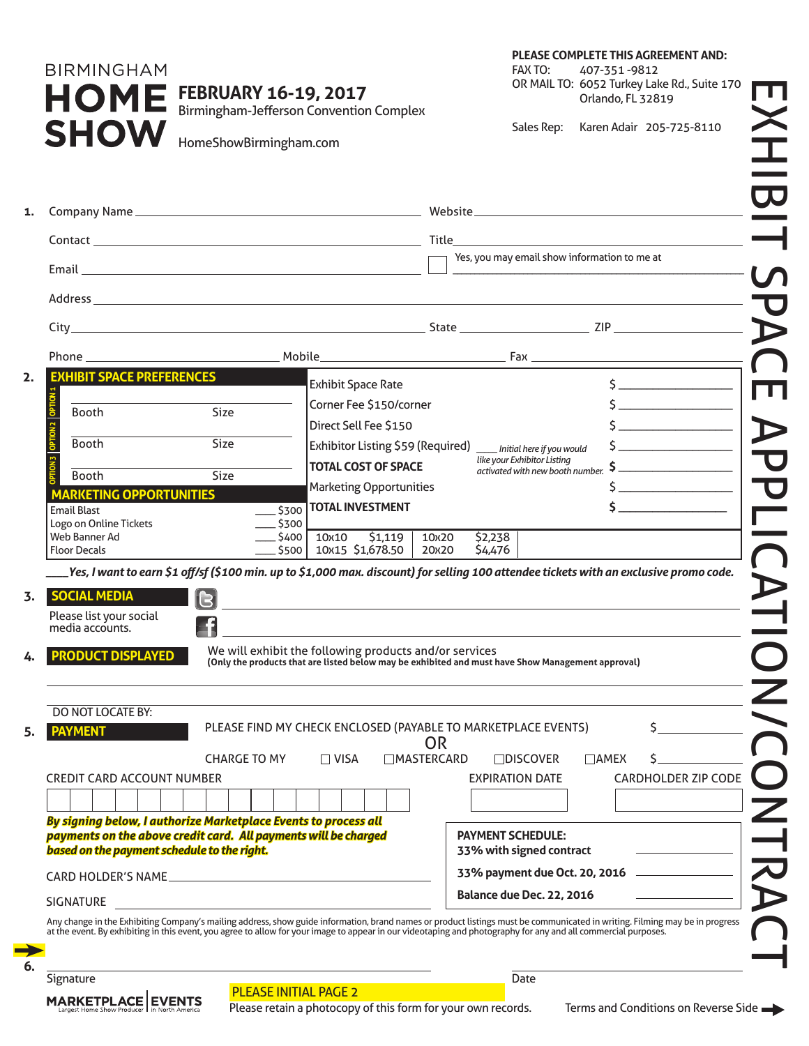### **PLEASE COMPLETE THIS AGREEMENT AND:**

**BIRMINGHAM** S

**FEBRUARY 16-19, 2017**

FAX TO: 407-351 -9812 OR MAIL TO: 6052 Turkey Lake Rd., Suite 170 Orlando, FL 32819

|                                                                 |                                                                 |                                                        |           | Yes, you may email show information to me at                                                                                                                                                                                  |                                                                                                                                         |
|-----------------------------------------------------------------|-----------------------------------------------------------------|--------------------------------------------------------|-----------|-------------------------------------------------------------------------------------------------------------------------------------------------------------------------------------------------------------------------------|-----------------------------------------------------------------------------------------------------------------------------------------|
|                                                                 |                                                                 |                                                        |           |                                                                                                                                                                                                                               |                                                                                                                                         |
|                                                                 |                                                                 |                                                        |           |                                                                                                                                                                                                                               |                                                                                                                                         |
|                                                                 |                                                                 |                                                        |           |                                                                                                                                                                                                                               |                                                                                                                                         |
| <b>EXHIBIT SPACE PREFERENCES</b>                                |                                                                 | <b>Exhibit Space Rate</b>                              |           |                                                                                                                                                                                                                               |                                                                                                                                         |
|                                                                 |                                                                 | Corner Fee \$150/corner                                |           |                                                                                                                                                                                                                               |                                                                                                                                         |
| Booth                                                           | <b>Size</b>                                                     | Direct Sell Fee \$150                                  |           |                                                                                                                                                                                                                               |                                                                                                                                         |
| Booth                                                           | <b>Size</b>                                                     |                                                        |           | Exhibitor Listing \$59 (Required) __ Initial here if you would                                                                                                                                                                |                                                                                                                                         |
|                                                                 |                                                                 | <b>TOTAL COST OF SPACE</b>                             |           | like your Exhibitor Listing                                                                                                                                                                                                   |                                                                                                                                         |
| <b>Booth</b>                                                    | Size                                                            | <b>Marketing Opportunities</b>                         |           | activated with new booth number.                                                                                                                                                                                              |                                                                                                                                         |
| <b>MARKETING OPPORTUNITIES</b>                                  |                                                                 | $\frac{1}{2500}$ TOTAL INVESTMENT                      |           |                                                                                                                                                                                                                               |                                                                                                                                         |
| <b>Email Blast</b><br>Logo on Online Tickets                    | $\overline{\phantom{0}}$ \$300                                  |                                                        |           |                                                                                                                                                                                                                               |                                                                                                                                         |
| Web Banner Ad                                                   | __ \$400                                                        | 10x10 \$1,119                                          | 10x20     | \$2,238                                                                                                                                                                                                                       |                                                                                                                                         |
| <b>Floor Decals</b>                                             |                                                                 | 10x15 \$1,678.50<br>\$500                              | 20x20     | \$4,476                                                                                                                                                                                                                       |                                                                                                                                         |
|                                                                 |                                                                 |                                                        |           |                                                                                                                                                                                                                               | .Yes, I want to earn \$1 off/sf (\$100 min. up to \$1,000 max. discount) for selling 100 attendee tickets with an exclusive promo code. |
| <b>SOCIAL MEDIA</b>                                             | 131                                                             |                                                        |           | the control of the control of the control of the control of the control of the control of the control of the control of the control of the control of the control of the control of the control of the control of the control |                                                                                                                                         |
| Please list your social<br>media accounts.                      | 51                                                              |                                                        |           |                                                                                                                                                                                                                               |                                                                                                                                         |
| <b>PRODUCT DISPLAYED</b>                                        |                                                                 | We will exhibit the following products and/or services |           | (Only the products that are listed below may be exhibited and must have Show Management approval)                                                                                                                             |                                                                                                                                         |
| <b>DO NOT LOCATE BY:</b>                                        |                                                                 |                                                        |           |                                                                                                                                                                                                                               |                                                                                                                                         |
| <b>PAYMENT</b>                                                  |                                                                 |                                                        | <b>OR</b> | PLEASE FIND MY CHECK ENCLOSED (PAYABLE TO MARKETPLACE EVENTS)                                                                                                                                                                 | \$                                                                                                                                      |
|                                                                 | <b>CHARGE TO MY</b>                                             | <b>MASTERCARD</b><br>$\Box$ VISA                       |           | $\Box$ DISCOVER                                                                                                                                                                                                               | $\Box$ AMEX<br>S.                                                                                                                       |
| <b>CREDIT CARD ACCOUNT NUMBER</b>                               |                                                                 |                                                        |           | <b>EXPIRATION DATE</b>                                                                                                                                                                                                        | <b>CARDHOLDER ZIP CODE</b>                                                                                                              |
|                                                                 |                                                                 |                                                        |           |                                                                                                                                                                                                                               |                                                                                                                                         |
|                                                                 | By signing below, I authorize Marketplace Events to process all |                                                        |           |                                                                                                                                                                                                                               |                                                                                                                                         |
| payments on the above credit card. All payments will be charged |                                                                 |                                                        |           | <b>PAYMENT SCHEDULE:</b>                                                                                                                                                                                                      |                                                                                                                                         |
| based on the payment schedule to the right.                     |                                                                 |                                                        |           | 33% with signed contract                                                                                                                                                                                                      |                                                                                                                                         |
|                                                                 |                                                                 |                                                        |           |                                                                                                                                                                                                                               | 33% payment due Oct. 20, 2016 _______________                                                                                           |
|                                                                 |                                                                 |                                                        |           | Balance due Dec. 22, 2016                                                                                                                                                                                                     |                                                                                                                                         |

Any change in the Exhibiting Company's mailing address, show guide information, brand names or product listings must be communicated in writing. Filming may be in progress<br>at the event. By exhibiting in this event, you agr

 $\rightarrow$ **6.**



### PLEASE INITIAL PAGE 2

Please retain a photocopy of this form for your own records. Terms and Conditions on Reverse Side  $\rightarrow$